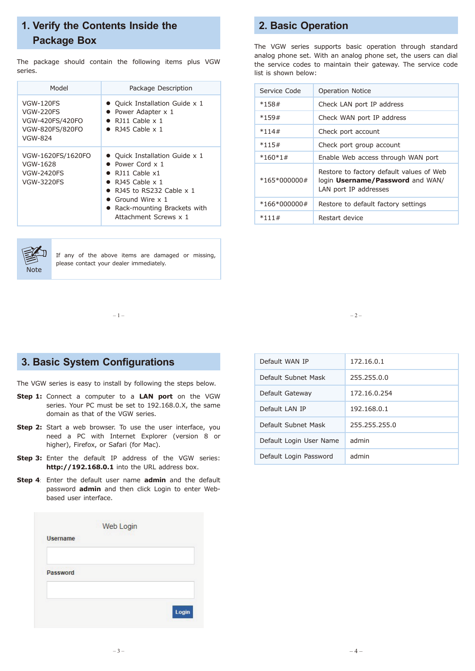# **1. Verify the Contents Inside the Package Box**

The package should contain the following items plus VGW series.

| Model                                                                          | Package Description                                                                                                                                                                                                                                                  |
|--------------------------------------------------------------------------------|----------------------------------------------------------------------------------------------------------------------------------------------------------------------------------------------------------------------------------------------------------------------|
| <b>VGW-120FS</b><br>VGW-220FS<br>VGW-420FS/420FO<br>VGW-820FS/820FO<br>VGW-824 | • Quick Installation Guide x 1<br>• Power Adapter x 1<br>$\bullet$ RJ11 Cable x 1<br>$\bullet$ R <sub>145</sub> Cable x 1                                                                                                                                            |
| VGW-1620FS/1620FO<br>VGW-1628<br><b>VGW-2420FS</b><br><b>VGW-3220FS</b>        | • Quick Installation Guide x 1<br>• Power Cord $\times$ 1<br>$\bullet$ R <sub>111</sub> Cable x <sub>1</sub><br>$\bullet$ R145 Cable x 1<br>$\bullet$ RJ45 to RS232 Cable x 1<br>$\bullet$ Ground Wire x 1<br>• Rack-mounting Brackets with<br>Attachment Screws x 1 |



If any of the above items are damaged or missing, please contact your dealer immediately.

# **2. Basic Operation**

The VGW series supports basic operation through standard analog phone set. With an analog phone set, the users can dial the service codes to maintain their gateway. The service code list is shown below:

| Service Code   | <b>Operation Notice</b>                                                                               |
|----------------|-------------------------------------------------------------------------------------------------------|
| $*158#$        | Check LAN port IP address                                                                             |
| $*159#$        | Check WAN port IP address                                                                             |
| $*114#$        | Check port account                                                                                    |
| $*115#$        | Check port group account                                                                              |
| $*160*1#$      | Enable Web access through WAN port                                                                    |
| $*165*000000#$ | Restore to factory default values of Web<br>login Username/Password and WAN/<br>LAN port IP addresses |
| $*166*000000#$ | Restore to default factory settings                                                                   |
| $*111#$        | Restart device                                                                                        |

 $-1 -2 -$ 

## **3. Basic System Configurations**

The VGW series is easy to install by following the steps below.

- **Step 1:** Connect a computer to a **LAN port** on the VGW series. Your PC must be set to 192.168.0.X, the same domain as that of the VGW series.
- **Step 2:** Start a web browser. To use the user interface, you need a PC with Internet Explorer (version 8 or higher), Firefox, or Safari (for Mac).
- **Step 3:** Enter the default IP address of the VGW series: **http://192.168.0.1** into the URL address box.
- **Step 4**: Enter the default user name **admin** and the default password **admin** and then click Login to enter Webbased user interface.

| Default WAN IP          | 172.16.0.1    |
|-------------------------|---------------|
| Default Subnet Mask     | 255.255.0.0   |
| Default Gateway         | 172.16.0.254  |
| Default LAN IP          | 192.168.0.1   |
| Default Subnet Mask     | 255.255.255.0 |
| Default Login User Name | admin         |
| Default Login Password  | admin         |

| <b>Username</b>         | Web Login |       |
|-------------------------|-----------|-------|
|                         |           |       |
| <b>GOLDS AND STREET</b> |           |       |
| Password                |           |       |
|                         |           |       |
|                         |           | Login |